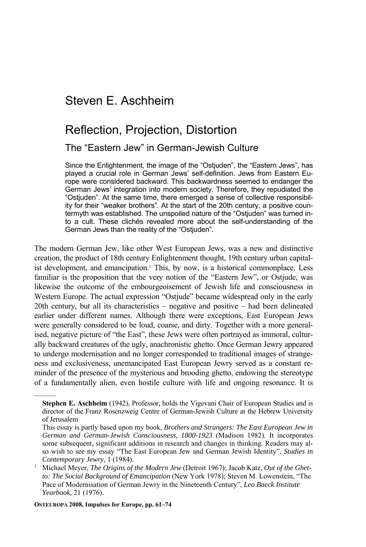# Steven E. Aschheim

# Reflection, Projection, Distortion

The "Eastern Jew" in German-Jewish Culture

Since the Enlightenment, the image of the "Ostjuden", the "Eastern Jews", has played a crucial role in German Jews' self-definition. Jews from Eastern Europe were considered backward. This backwardness seemed to endanger the German Jews' integration into modern society. Therefore, they repudiated the "Ostjuden". At the same time, there emerged a sense of collective responsibility for their "weaker brothers". At the start of the 20th century, a positive countermyth was established. The unspoiled nature of the "Ostjuden" was turned into a cult. These clichés revealed more about the self-understanding of the German Jews than the reality of the "Ostjuden".

The modern German Jew, like other West European Jews, was a new and distinctive creation, the product of 18th century Enlightenment thought, 19th century urban capitalist development, and emancipation.<sup>1</sup> This, by now, is a historical commonplace. Less familiar is the proposition that the very notion of the "Eastern Jew", or Ostjude, was likewise the outcome of the embourgeoisement of Jewish life and consciousness in Western Europe. The actual expression "Ostjude" became widespread only in the early 20th century, but all its characteristics – negative and positive – had been delineated earlier under different names. Although there were exceptions, East European Jews were generally considered to be loud, coarse, and dirty. Together with a more generalised, negative picture of "the East", these Jews were often portrayed as immoral, culturally backward creatures of the ugly, anachronistic ghetto. Once German Jewry appeared to undergo modernisation and no longer corresponded to traditional images of strangeness and exclusiveness, unemancipated East European Jewry served as a constant reminder of the presence of the mysterious and brooding ghetto, endowing the stereotype of a fundamentally alien, even hostile culture with life and ongoing resonance. It is

**Stephen E. Aschheim** (1942), Professor, holds the Vigevani Chair of European Studies and is director of the Franz Rosenzweig Centre of German-Jewish Culture at the Hebrew University of Jerusalem

This essay is partly based upon my book, *Brothers and Strangers: The East European Jew in German and German-Jewish Consciousness, 1800-1923* (Madison 1982). It incorporates some subsequent, significant additions in research and changes in thinking. Readers may also wish to see my essay "The East European Jew and German Jewish Identity", *Studies in Contemporary Jewry*, 1 (1984). 1 Michael Meyer, *The Origins of the Modern Jew* (Detroit 1967); Jacob Katz, *Out of the Ghet-*

*to: The Social Background of Emancipation* (New York 1978); Steven M. Lowenstein, "The Pace of Modernisation of German Jewry in the Nineteenth Century", *Leo Baeck Institute Yearbook*, 21 (1976).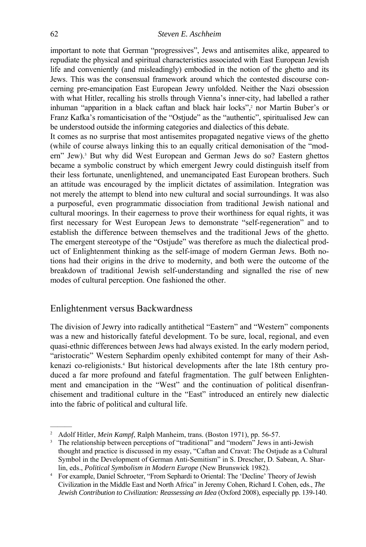important to note that German "progressives", Jews and antisemites alike, appeared to repudiate the physical and spiritual characteristics associated with East European Jewish life and conveniently (and misleadingly) embodied in the notion of the ghetto and its Jews. This was the consensual framework around which the contested discourse concerning pre-emancipation East European Jewry unfolded. Neither the Nazi obsession with what Hitler, recalling his strolls through Vienna's inner-city, had labelled a rather inhuman "apparition in a black caftan and black hair locks",<sup>2</sup> nor Martin Buber's or Franz Kafka's romanticisation of the "Ostjude" as the "authentic", spiritualised Jew can be understood outside the informing categories and dialectics of this debate.

It comes as no surprise that most antisemites propagated negative views of the ghetto (while of course always linking this to an equally critical demonisation of the "modern" Jew).<sup>3</sup> But why did West European and German Jews do so? Eastern ghettos became a symbolic construct by which emergent Jewry could distinguish itself from their less fortunate, unenlightened, and unemancipated East European brothers. Such an attitude was encouraged by the implicit dictates of assimilation. Integration was not merely the attempt to blend into new cultural and social surroundings. It was also a purposeful, even programmatic dissociation from traditional Jewish national and cultural moorings. In their eagerness to prove their worthiness for equal rights, it was first necessary for West European Jews to demonstrate "self-regeneration" and to establish the difference between themselves and the traditional Jews of the ghetto. The emergent stereotype of the "Ostjude" was therefore as much the dialectical product of Enlightenment thinking as the self-image of modern German Jews. Both notions had their origins in the drive to modernity, and both were the outcome of the breakdown of traditional Jewish self-understanding and signalled the rise of new modes of cultural perception. One fashioned the other.

#### Enlightenment versus Backwardness

———

The division of Jewry into radically antithetical "Eastern" and "Western" components was a new and historically fateful development. To be sure, local, regional, and even quasi-ethnic differences between Jews had always existed. In the early modern period, "aristocratic" Western Sephardim openly exhibited contempt for many of their Ashkenazi co-religionists.<sup>4</sup> But historical developments after the late 18th century produced a far more profound and fateful fragmentation. The gulf between Enlightenment and emancipation in the "West" and the continuation of political disenfranchisement and traditional culture in the "East" introduced an entirely new dialectic into the fabric of political and cultural life.

<sup>&</sup>lt;sup>2</sup> Adolf Hitler, *Mein Kampf*, Ralph Manheim, trans. (Boston 1971), pp. 56-57.<br><sup>3</sup> The relationship between perceptions of "traditional" and "modern" Jews in anti-Jewish

thought and practice is discussed in my essay, "Caftan and Cravat: The Ostjude as a Cultural Symbol in the Development of German Anti-Semitism" in S. Drescher, D. Sabean, A. Shar-

lin, eds., *Political Symbolism in Modern Europe* (New Brunswick 1982). 4 For example, Daniel Schroeter, "From Sephardi to Oriental: The 'Decline' Theory of Jewish Civilization in the Middle East and North Africa" in Jeremy Cohen, Richard I. Cohen, eds., *The Jewish Contribution to Civilization: Reassessing an Idea* (Oxford 2008), especially pp. 139-140.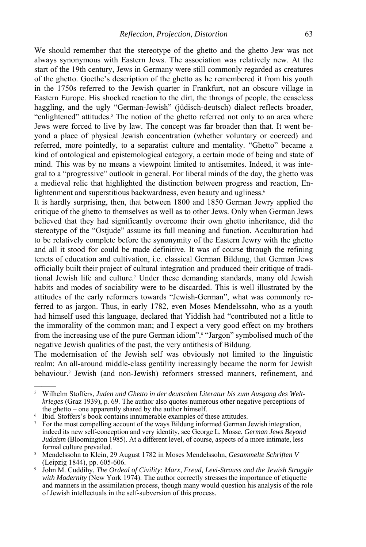We should remember that the stereotype of the ghetto and the ghetto Jew was not always synonymous with Eastern Jews. The association was relatively new. At the start of the 19th century, Jews in Germany were still commonly regarded as creatures of the ghetto. Goethe's description of the ghetto as he remembered it from his youth in the 1750s referred to the Jewish quarter in Frankfurt, not an obscure village in Eastern Europe. His shocked reaction to the dirt, the throngs of people, the ceaseless haggling, and the ugly "German-Jewish" (jüdisch-deutsch) dialect reflects broader, "enlightened" attitudes.<sup>5</sup> The notion of the ghetto referred not only to an area where Jews were forced to live by law. The concept was far broader than that. It went beyond a place of physical Jewish concentration (whether voluntary or coerced) and referred, more pointedly, to a separatist culture and mentality. "Ghetto" became a kind of ontological and epistemological category, a certain mode of being and state of mind. This was by no means a viewpoint limited to antisemites. Indeed, it was integral to a "progressive" outlook in general. For liberal minds of the day, the ghetto was a medieval relic that highlighted the distinction between progress and reaction, Enlightenment and superstitious backwardness, even beauty and ugliness.<sup>6</sup>

It is hardly surprising, then, that between 1800 and 1850 German Jewry applied the critique of the ghetto to themselves as well as to other Jews. Only when German Jews believed that they had significantly overcome their own ghetto inheritance, did the stereotype of the "Ostjude" assume its full meaning and function. Acculturation had to be relatively complete before the synonymity of the Eastern Jewry with the ghetto and all it stood for could be made definitive. It was of course through the refining tenets of education and cultivation, i.e. classical German Bildung, that German Jews officially built their project of cultural integration and produced their critique of traditional Jewish life and culture.7 Under these demanding standards, many old Jewish habits and modes of sociability were to be discarded. This is well illustrated by the attitudes of the early reformers towards "Jewish-German", what was commonly referred to as jargon. Thus, in early 1782, even Moses Mendelssohn, who as a youth had himself used this language, declared that Yiddish had "contributed not a little to the immorality of the common man; and I expect a very good effect on my brothers from the increasing use of the pure German idiom".<sup>8</sup> "Jargon" symbolised much of the negative Jewish qualities of the past, the very antithesis of Bildung.

The modernisation of the Jewish self was obviously not limited to the linguistic realm: An all-around middle-class gentility increasingly became the norm for Jewish behaviour.<sup>9</sup> Jewish (and non-Jewish) reformers stressed manners, refinement, and

- <sup>6</sup> Ibid. Stoffers's book contains innumerable examples of these attitudes.<br><sup>7</sup> For the most compelling account of the ways Bildung informed German Jewish integration, indeed its new self-conception and very identity, see George L. Mosse, *German Jews Beyond Judaism* (Bloomington 1985). At a different level, of course, aspects of a more intimate, less
- <sup>8</sup> Mendelssohn to Klein, 29 August 1782 in Moses Mendelssohn, *Gesammelte Schriften V* (Leipzig 1844), pp. 605-606.
- <sup>9</sup> John M. Cuddihy, *The Ordeal of Civility: Marx, Freud, Levi-Strauss and the Jewish Struggle* with *Modernity* (New York 1974). The author correctly stresses the importance of etiquette and manners in the assimilation process, though many would question his analysis of the role of Jewish intellectuals in the self-subversion of this process.

<sup>5</sup> Wilhelm Stoffers, *Juden und Ghetto in der deutschen Literatur bis zum Ausgang des Weltkrieges* (Graz 1939), p. 69. The author also quotes numerous other negative perceptions of the ghetto – one apparently shared by the author himself.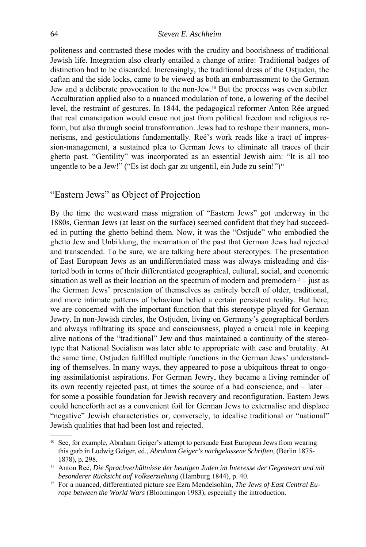politeness and contrasted these modes with the crudity and boorishness of traditional Jewish life. Integration also clearly entailed a change of attire: Traditional badges of distinction had to be discarded. Increasingly, the traditional dress of the Ostjuden, the caftan and the side locks, came to be viewed as both an embarrassment to the German Jew and a deliberate provocation to the non-Jew.10 But the process was even subtler. Acculturation applied also to a nuanced modulation of tone, a lowering of the decibel level, the restraint of gestures. In 1844, the pedagogical reformer Anton Rée argued that real emancipation would ensue not just from political freedom and religious reform, but also through social transformation. Jews had to reshape their manners, mannerisms, and gesticulations fundamentally. Reé's work reads like a tract of impression-management, a sustained plea to German Jews to eliminate all traces of their ghetto past. "Gentility" was incorporated as an essential Jewish aim: "It is all too ungentle to be a Jew!" ("Es ist doch gar zu ungentil, ein Jude zu sein!") $\mathbb{1}^1$ 

# "Eastern Jews" as Object of Projection

By the time the westward mass migration of "Eastern Jews" got underway in the 1880s, German Jews (at least on the surface) seemed confident that they had succeeded in putting the ghetto behind them. Now, it was the "Ostjude" who embodied the ghetto Jew and Unbildung, the incarnation of the past that German Jews had rejected and transcended. To be sure, we are talking here about stereotypes. The presentation of East European Jews as an undifferentiated mass was always misleading and distorted both in terms of their differentiated geographical, cultural, social, and economic situation as well as their location on the spectrum of modern and premodern<sup>12</sup> – just as the German Jews' presentation of themselves as entirely bereft of older, traditional, and more intimate patterns of behaviour belied a certain persistent reality. But here, we are concerned with the important function that this stereotype played for German Jewry. In non-Jewish circles, the Ostjuden, living on Germany's geographical borders and always infiltrating its space and consciousness, played a crucial role in keeping alive notions of the "traditional" Jew and thus maintained a continuity of the stereotype that National Socialism was later able to appropriate with ease and brutality. At the same time, Ostjuden fulfilled multiple functions in the German Jews' understanding of themselves. In many ways, they appeared to pose a ubiquitous threat to ongoing assimilationist aspirations. For German Jewry, they became a living reminder of its own recently rejected past, at times the source of a bad conscience, and – later – for some a possible foundation for Jewish recovery and reconfiguration. Eastern Jews could henceforth act as a convenient foil for German Jews to externalise and displace "negative" Jewish characteristics or, conversely, to idealise traditional or "national" Jewish qualities that had been lost and rejected.

<sup>10</sup> See, for example, Abraham Geiger's attempt to persuade East European Jews from wearing this garb in Ludwig Geiger, ed., *Abraham Geiger's nachgelassene Schriften*, (Berlin 1875- 1878), p. 298. 11 Anton Reé, *Die Sprachverhältnisse der heutigen Juden im Interesse der Gegenwart und mit* 

*besonderer Rücksicht auf Volkserziehung* (Hamburg 1844), p. 40.<br><sup>12</sup> For a nuanced, differentiated picture see Ezra Mendelsohhn, *The Jews of East Central Eu-*

*rope between the World Wars* (Bloomingon 1983), especially the introduction.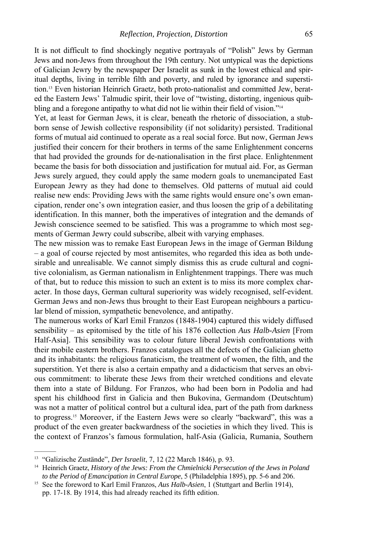It is not difficult to find shockingly negative portrayals of "Polish" Jews by German Jews and non-Jews from throughout the 19th century. Not untypical was the depictions of Galician Jewry by the newspaper Der Israelit as sunk in the lowest ethical and spiritual depths, living in terrible filth and poverty, and ruled by ignorance and superstition.13 Even historian Heinrich Graetz, both proto-nationalist and committed Jew, berated the Eastern Jews' Talmudic spirit, their love of "twisting, distorting, ingenious quibbling and a foregone antipathy to what did not lie within their field of vision."<sup>14</sup>

Yet, at least for German Jews, it is clear, beneath the rhetoric of dissociation, a stubborn sense of Jewish collective responsibility (if not solidarity) persisted. Traditional forms of mutual aid continued to operate as a real social force. But now, German Jews justified their concern for their brothers in terms of the same Enlightenment concerns that had provided the grounds for de-nationalisation in the first place. Enlightenment became the basis for both dissociation and justification for mutual aid. For, as German Jews surely argued, they could apply the same modern goals to unemancipated East European Jewry as they had done to themselves. Old patterns of mutual aid could realise new ends: Providing Jews with the same rights would ensure one's own emancipation, render one's own integration easier, and thus loosen the grip of a debilitating identification. In this manner, both the imperatives of integration and the demands of Jewish conscience seemed to be satisfied. This was a programme to which most segments of German Jewry could subscribe, albeit with varying emphases.

The new mission was to remake East European Jews in the image of German Bildung – a goal of course rejected by most antisemites, who regarded this idea as both undesirable and unrealisable. We cannot simply dismiss this as crude cultural and cognitive colonialism, as German nationalism in Enlightenment trappings. There was much of that, but to reduce this mission to such an extent is to miss its more complex character. In those days, German cultural superiority was widely recognised, self-evident. German Jews and non-Jews thus brought to their East European neighbours a particular blend of mission, sympathetic benevolence, and antipathy.

The numerous works of Karl Emil Franzos (1848-1904) captured this widely diffused sensibility – as epitomised by the title of his 1876 collection *Aus Halb-Asien* [From Half-Asia]. This sensibility was to colour future liberal Jewish confrontations with their mobile eastern brothers. Franzos catalogues all the defects of the Galician ghetto and its inhabitants: the religious fanaticism, the treatment of women, the filth, and the superstition. Yet there is also a certain empathy and a didacticism that serves an obvious commitment: to liberate these Jews from their wretched conditions and elevate them into a state of Bildung. For Franzos, who had been born in Podolia and had spent his childhood first in Galicia and then Bukovina, Germandom (Deutschtum) was not a matter of political control but a cultural idea, part of the path from darkness to progress.15 Moreover, if the Eastern Jews were so clearly "backward", this was a product of the even greater backwardness of the societies in which they lived. This is the context of Franzos's famous formulation, half-Asia (Galicia, Rumania, Southern

<sup>&</sup>lt;sup>13</sup> "Galizische Zustände", *Der Israelit*, 7, 12 (22 March 1846), p. 93.<br><sup>14</sup> Heinrich Graetz, *History of the Jews: From the Chmielnicki Persecution of the Jews in Poland to the Period of Emancipation in Central Europe*, 5 (Philadelphia 1895), pp. 5-6 and 206. <sup>15</sup> See the foreword to Karl Emil Franzos, *Aus Halb-Asien*, 1 (Stuttgart and Berlin 1914),

pp. 17-18. By 1914, this had already reached its fifth edition.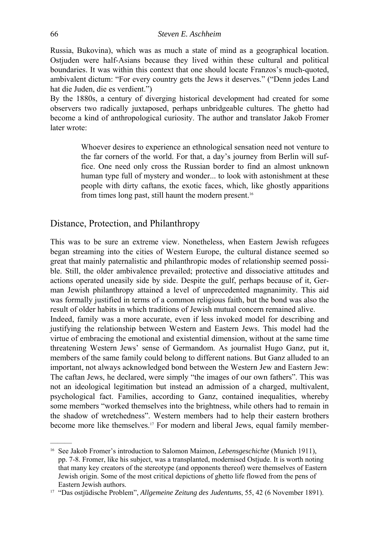Russia, Bukovina), which was as much a state of mind as a geographical location. Ostjuden were half-Asians because they lived within these cultural and political boundaries. It was within this context that one should locate Franzos's much-quoted, ambivalent dictum: "For every country gets the Jews it deserves." ("Denn jedes Land hat die Juden, die es verdient.")

By the 1880s, a century of diverging historical development had created for some observers two radically juxtaposed, perhaps unbridgeable cultures. The ghetto had become a kind of anthropological curiosity. The author and translator Jakob Fromer later wrote:

> Whoever desires to experience an ethnological sensation need not venture to the far corners of the world. For that, a day's journey from Berlin will suffice. One need only cross the Russian border to find an almost unknown human type full of mystery and wonder... to look with astonishment at these people with dirty caftans, the exotic faces, which, like ghostly apparitions from times long past, still haunt the modern present.16

## Distance, Protection, and Philanthropy

This was to be sure an extreme view. Nonetheless, when Eastern Jewish refugees began streaming into the cities of Western Europe, the cultural distance seemed so great that mainly paternalistic and philanthropic modes of relationship seemed possible. Still, the older ambivalence prevailed; protective and dissociative attitudes and actions operated uneasily side by side. Despite the gulf, perhaps because of it, German Jewish philanthropy attained a level of unprecedented magnanimity. This aid was formally justified in terms of a common religious faith, but the bond was also the result of older habits in which traditions of Jewish mutual concern remained alive. Indeed, family was a more accurate, even if less invoked model for describing and justifying the relationship between Western and Eastern Jews. This model had the virtue of embracing the emotional and existential dimension, without at the same time threatening Western Jews' sense of Germandom. As journalist Hugo Ganz, put it, members of the same family could belong to different nations. But Ganz alluded to an important, not always acknowledged bond between the Western Jew and Eastern Jew: The caftan Jews, he declared, were simply "the images of our own fathers". This was not an ideological legitimation but instead an admission of a charged, multivalent, psychological fact. Families, according to Ganz, contained inequalities, whereby some members "worked themselves into the brightness, while others had to remain in the shadow of wretchedness". Western members had to help their eastern brothers become more like themselves.<sup>17</sup> For modern and liberal Jews, equal family member-

<sup>&</sup>lt;sup>16</sup> See Jakob Fromer's introduction to Salomon Maimon, *Lebensgeschichte* (Munich 1911), pp. 7-8. Fromer, like his subject, was a transplanted, modernised Ostjude. It is worth noting that many key creators of the stereotype (and opponents thereof) were themselves of Eastern Jewish origin. Some of the most critical depictions of ghetto life flowed from the pens of Eastern Jewish authors. 17 "Das ostjüdische Problem", *Allgemeine Zeitung des Judentums*, 55, 42 (6 November 1891).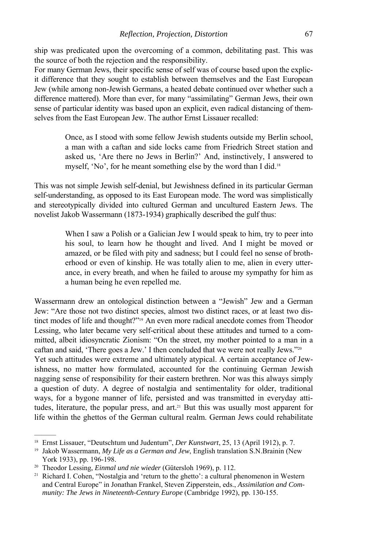ship was predicated upon the overcoming of a common, debilitating past. This was the source of both the rejection and the responsibility.

For many German Jews, their specific sense of self was of course based upon the explicit difference that they sought to establish between themselves and the East European Jew (while among non-Jewish Germans, a heated debate continued over whether such a difference mattered). More than ever, for many "assimilating" German Jews, their own sense of particular identity was based upon an explicit, even radical distancing of themselves from the East European Jew. The author Ernst Lissauer recalled:

> Once, as I stood with some fellow Jewish students outside my Berlin school, a man with a caftan and side locks came from Friedrich Street station and asked us, 'Are there no Jews in Berlin?' And, instinctively, I answered to myself, 'No', for he meant something else by the word than I did.<sup>18</sup>

This was not simple Jewish self-denial, but Jewishness defined in its particular German self-understanding, as opposed to its East European mode. The word was simplistically and stereotypically divided into cultured German and uncultured Eastern Jews. The novelist Jakob Wassermann (1873-1934) graphically described the gulf thus:

> When I saw a Polish or a Galician Jew I would speak to him, try to peer into his soul, to learn how he thought and lived. And I might be moved or amazed, or be filed with pity and sadness; but I could feel no sense of brotherhood or even of kinship. He was totally alien to me, alien in every utterance, in every breath, and when he failed to arouse my sympathy for him as a human being he even repelled me.

Wassermann drew an ontological distinction between a "Jewish" Jew and a German Jew: "Are those not two distinct species, almost two distinct races, or at least two distinct modes of life and thought?"19 An even more radical anecdote comes from Theodor Lessing, who later became very self-critical about these attitudes and turned to a committed, albeit idiosyncratic Zionism: "On the street, my mother pointed to a man in a caftan and said, 'There goes a Jew.' I then concluded that we were not really Jews."20 Yet such attitudes were extreme and ultimately atypical. A certain acceptance of Jewishness, no matter how formulated, accounted for the continuing German Jewish nagging sense of responsibility for their eastern brethren. Nor was this always simply a question of duty. A degree of nostalgia and sentimentality for older, traditional ways, for a bygone manner of life, persisted and was transmitted in everyday attitudes, literature, the popular press, and art.21 But this was usually most apparent for life within the ghettos of the German cultural realm. German Jews could rehabilitate

<sup>&</sup>lt;sup>18</sup> Ernst Lissauer, "Deutschtum und Judentum", *Der Kunstwart*, 25, 13 (April 1912), p. 7.<br><sup>19</sup> Jakob Wassermann, *My Life as a German and Jew*, English translation S.N.Brainin (New

York 1933), pp. 196-198.<br><sup>20</sup> Theodor Lessing, *Einmal und nie wieder* (Gütersloh 1969), p. 112.<br><sup>21</sup> Richard I. Cohen, "Nostalgia and 'return to the ghetto': a cultural phenomenon in Western

and Central Europe" in Jonathan Frankel, Steven Zipperstein, eds., *Assimilation and Community: The Jews in Nineteenth-Century Europe* (Cambridge 1992), pp. 130-155.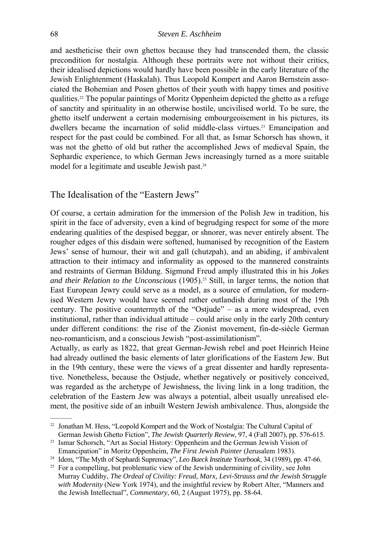and aestheticise their own ghettos because they had transcended them, the classic precondition for nostalgia. Although these portraits were not without their critics, their idealised depictions would hardly have been possible in the early literature of the Jewish Enlightenment (Haskalah). Thus Leopold Kompert and Aaron Bernstein associated the Bohemian and Posen ghettos of their youth with happy times and positive qualities.22 The popular paintings of Moritz Oppenheim depicted the ghetto as a refuge of sanctity and spirituality in an otherwise hostile, uncivilised world. To be sure, the ghetto itself underwent a certain modernising embourgeoisement in his pictures, its dwellers became the incarnation of solid middle-class virtues.23 Emancipation and respect for the past could be combined. For all that, as Ismar Schorsch has shown, it was not the ghetto of old but rather the accomplished Jews of medieval Spain, the Sephardic experience, to which German Jews increasingly turned as a more suitable model for a legitimate and useable Jewish past.<sup>24</sup>

## The Idealisation of the "Eastern Jews"

Of course, a certain admiration for the immersion of the Polish Jew in tradition, his spirit in the face of adversity, even a kind of begrudging respect for some of the more endearing qualities of the despised beggar, or shnorer, was never entirely absent. The rougher edges of this disdain were softened, humanised by recognition of the Eastern Jews' sense of humour, their wit and gall (chutzpah), and an abiding, if ambivalent attraction to their intimacy and informality as opposed to the mannered constraints and restraints of German Bildung. Sigmund Freud amply illustrated this in his *Jokes*  and their Relation to the Unconscious (1905).<sup>25</sup> Still, in larger terms, the notion that East European Jewry could serve as a model, as a source of emulation, for modernised Western Jewry would have seemed rather outlandish during most of the 19th century. The positive countermyth of the "Ostjude" – as a more widespread, even institutional, rather than individual attitude – could arise only in the early 20th century under different conditions: the rise of the Zionist movement, fin-de-siècle German neo-romanticism, and a conscious Jewish "post-assimilationism".

Actually, as early as 1822, that great German-Jewish rebel and poet Heinrich Heine had already outlined the basic elements of later glorifications of the Eastern Jew. But in the 19th century, these were the views of a great dissenter and hardly representative. Nonetheless, because the Ostjude, whether negatively or positively conceived, was regarded as the archetype of Jewishness, the living link in a long tradition, the celebration of the Eastern Jew was always a potential, albeit usually unrealised element, the positive side of an inbuilt Western Jewish ambivalence. Thus, alongside the

<sup>22</sup> Jonathan M. Hess, "Leopold Kompert and the Work of Nostalgia: The Cultural Capital of

German Jewish Ghetto Fiction", *The Jewish Quarterly Review*, 97, 4 (Fall 2007), pp. 576-615.<br><sup>23</sup> Ismar Schorsch, "Art as Social History: Oppenheim and the German Jewish Vision of

Emancipation" in Moritz Oppenheim, *The First Jewish Painter* (Jerusalem 1983).<br><sup>24</sup> Idem, "The Myth of Sephardi Supremacy", *Leo Baeck Institute Yearbook*, 34 (1989), pp. 47-66.<br><sup>25</sup> For a compelling, but problematic view

Murray Cuddihy, *The Ordeal of Civility: Freud, Marx, Levi-Strauss and the Jewish Struggle with Modernity* (New York 1974), and the insightful review by Robert Alter, "Manners and the Jewish Intellectual", *Commentary*, 60, 2 (August 1975), pp. 58-64.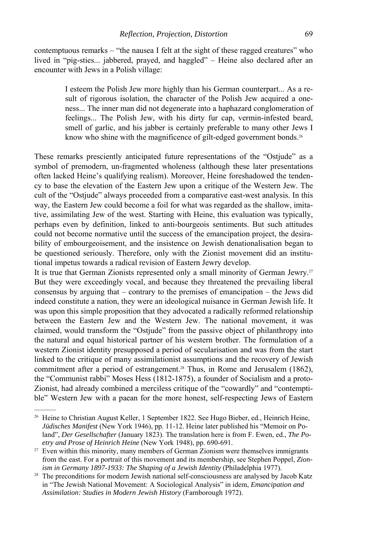contemptuous remarks – "the nausea I felt at the sight of these ragged creatures" who lived in "pig-sties... jabbered, prayed, and haggled" – Heine also declared after an encounter with Jews in a Polish village:

> I esteem the Polish Jew more highly than his German counterpart... As a result of rigorous isolation, the character of the Polish Jew acquired a oneness... The inner man did not degenerate into a haphazard conglomeration of feelings... The Polish Jew, with his dirty fur cap, vermin-infested beard, smell of garlic, and his jabber is certainly preferable to many other Jews I know who shine with the magnificence of gilt-edged government bonds.<sup>26</sup>

These remarks presciently anticipated future representations of the "Ostjude" as a symbol of premodern, un-fragmented wholeness (although these later presentations often lacked Heine's qualifying realism). Moreover, Heine foreshadowed the tendency to base the elevation of the Eastern Jew upon a critique of the Western Jew. The cult of the "Ostjude" always proceeded from a comparative east-west analysis. In this way, the Eastern Jew could become a foil for what was regarded as the shallow, imitative, assimilating Jew of the west. Starting with Heine, this evaluation was typically, perhaps even by definition, linked to anti-bourgeois sentiments. But such attitudes could not become normative until the success of the emancipation project, the desirability of embourgeoisement, and the insistence on Jewish denationalisation began to be questioned seriously. Therefore, only with the Zionist movement did an institutional impetus towards a radical revision of Eastern Jewry develop.

It is true that German Zionists represented only a small minority of German Jewry.27 But they were exceedingly vocal, and because they threatened the prevailing liberal consensus by arguing that – contrary to the premises of emancipation – the Jews did indeed constitute a nation, they were an ideological nuisance in German Jewish life. It was upon this simple proposition that they advocated a radically reformed relationship between the Eastern Jew and the Western Jew. The national movement, it was claimed, would transform the "Ostjude" from the passive object of philanthropy into the natural and equal historical partner of his western brother. The formulation of a western Zionist identity presupposed a period of secularisation and was from the start linked to the critique of many assimilationist assumptions and the recovery of Jewish commitment after a period of estrangement.<sup>28</sup> Thus, in Rome and Jerusalem (1862), the "Communist rabbi" Moses Hess (1812-1875), a founder of Socialism and a proto-Zionist, had already combined a merciless critique of the "cowardly" and "contemptible" Western Jew with a paean for the more honest, self-respecting Jews of Eastern

<sup>&</sup>lt;sup>26</sup> Heine to Christian August Keller, 1 September 1822. See Hugo Bieber, ed., Heinrich Heine, *Jüdisches Manifest* (New York 1946), pp. 11-12. Heine later published his "Memoir on Poland", *Der Gesellschafter* (January 1823). The translation here is from F. Ewen, ed., *The Po-*

*etry and Prose of Heinrich Heine* (New York 1948), pp. 690-691.<br><sup>27</sup> Even within this minority, many members of German Zionism were themselves immigrants from the east. For a portrait of this movement and its membership, see Stephen Poppel, *Zionism in Germany 1897-1933: The Shaping of a Jewish Identity* (Philadelphia 1977).<br><sup>28</sup> The preconditions for modern Jewish national self-consciousness are analysed by Jacob Katz

in "The Jewish National Movement: A Sociological Analysis" in idem, *Emancipation and Assimilation: Studies in Modern Jewish History* (Farnborough 1972).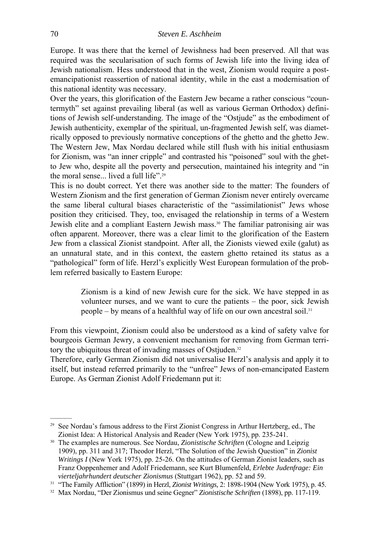Europe. It was there that the kernel of Jewishness had been preserved. All that was required was the secularisation of such forms of Jewish life into the living idea of Jewish nationalism. Hess understood that in the west, Zionism would require a postemancipationist reassertion of national identity, while in the east a modernisation of this national identity was necessary.

Over the years, this glorification of the Eastern Jew became a rather conscious "countermyth" set against prevailing liberal (as well as various German Orthodox) definitions of Jewish self-understanding. The image of the "Ostjude" as the embodiment of Jewish authenticity, exemplar of the spiritual, un-fragmented Jewish self, was diametrically opposed to previously normative conceptions of the ghetto and the ghetto Jew. The Western Jew, Max Nordau declared while still flush with his initial enthusiasm for Zionism, was "an inner cripple" and contrasted his "poisoned" soul with the ghetto Jew who, despite all the poverty and persecution, maintained his integrity and "in the moral sense... lived a full life".29

This is no doubt correct. Yet there was another side to the matter: The founders of Western Zionism and the first generation of German Zionism never entirely overcame the same liberal cultural biases characteristic of the "assimilationist" Jews whose position they criticised. They, too, envisaged the relationship in terms of a Western Jewish elite and a compliant Eastern Jewish mass.30 The familiar patronising air was often apparent. Moreover, there was a clear limit to the glorification of the Eastern Jew from a classical Zionist standpoint. After all, the Zionists viewed exile (galut) as an unnatural state, and in this context, the eastern ghetto retained its status as a "pathological" form of life. Herzl's explicitly West European formulation of the problem referred basically to Eastern Europe:

> Zionism is a kind of new Jewish cure for the sick. We have stepped in as volunteer nurses, and we want to cure the patients – the poor, sick Jewish people – by means of a healthful way of life on our own ancestral soil.31

From this viewpoint, Zionism could also be understood as a kind of safety valve for bourgeois German Jewry, a convenient mechanism for removing from German territory the ubiquitous threat of invading masses of Ostjuden.<sup>32</sup>

Therefore, early German Zionism did not universalise Herzl's analysis and apply it to itself, but instead referred primarily to the "unfree" Jews of non-emancipated Eastern Europe. As German Zionist Adolf Friedemann put it:

<sup>&</sup>lt;sup>29</sup> See Nordau's famous address to the First Zionist Congress in Arthur Hertzberg, ed., The Zionist Idea: A Historical Analysis and Reader (New York 1975), pp. 235-241. 30 The examples are numerous. See Nordau, *Zionistische Schriften* (Cologne and Leipzig

<sup>1909),</sup> pp. 311 and 317; Theodor Herzl, "The Solution of the Jewish Question" in *Zionist Writings I* (New York 1975), pp. 25-26. On the attitudes of German Zionist leaders, such as Franz Ooppenhemer and Adolf Friedemann, see Kurt Blumenfeld, *Erlebte Judenfrage: Ein* 

*vierteljahrhundert deutscher Zionismus* (Stuttgart 1962), pp. 52 and 59.<br><sup>31</sup> "The Family Affliction" (1899) in Herzl, *Zionist Writings*, 2: 1898-1904 (New York 1975), p. 45.<br><sup>32</sup> Max Nordau, "Der Zionismus und seine Geg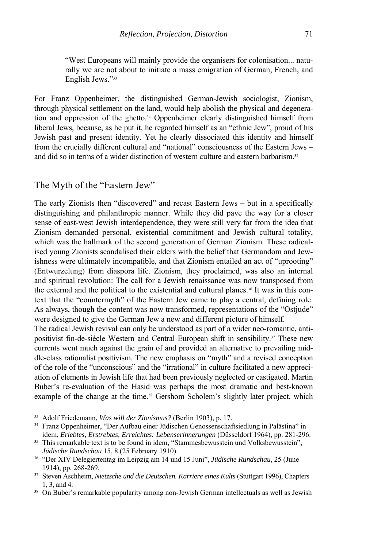"West Europeans will mainly provide the organisers for colonisation... naturally we are not about to initiate a mass emigration of German, French, and English Jews."33

For Franz Oppenheimer, the distinguished German-Jewish sociologist, Zionism, through physical settlement on the land, would help abolish the physical and degeneration and oppression of the ghetto.34 Oppenheimer clearly distinguished himself from liberal Jews, because, as he put it, he regarded himself as an "ethnic Jew", proud of his Jewish past and present identity. Yet he clearly dissociated this identity and himself from the crucially different cultural and "national" consciousness of the Eastern Jews – and did so in terms of a wider distinction of western culture and eastern barbarism.35

#### The Myth of the "Eastern Jew"

The early Zionists then "discovered" and recast Eastern Jews – but in a specifically distinguishing and philanthropic manner. While they did pave the way for a closer sense of east-west Jewish interdependence, they were still very far from the idea that Zionism demanded personal, existential commitment and Jewish cultural totality, which was the hallmark of the second generation of German Zionism. These radicalised young Zionists scandalised their elders with the belief that Germandom and Jewishness were ultimately incompatible, and that Zionism entailed an act of "uprooting" (Entwurzelung) from diaspora life. Zionism, they proclaimed, was also an internal and spiritual revolution: The call for a Jewish renaissance was now transposed from the external and the political to the existential and cultural planes.36 It was in this context that the "countermyth" of the Eastern Jew came to play a central, defining role. As always, though the content was now transformed, representations of the "Ostjude" were designed to give the German Jew a new and different picture of himself.

The radical Jewish revival can only be understood as part of a wider neo-romantic, antipositivist fin-de-siècle Western and Central European shift in sensibility.37 These new currents went much against the grain of and provided an alternative to prevailing middle-class rationalist positivism. The new emphasis on "myth" and a revised conception of the role of the "unconscious" and the "irrational" in culture facilitated a new appreciation of elements in Jewish life that had been previously neglected or castigated. Martin Buber's re-evaluation of the Hasid was perhaps the most dramatic and best-known example of the change at the time.<sup>38</sup> Gershom Scholem's slightly later project, which

<sup>&</sup>lt;sup>33</sup> Adolf Friedemann, *Was will der Zionismus?* (Berlin 1903), p. 17.<br><sup>34</sup> Franz Oppenheimer, "Der Aufbau einer Jüdischen Genossenschaftsiedlung in Palästina" in idem, *Erlebtes, Erstrebtes, Erreichtes: Lebenserinnerungen* (Düsseldorf 1964), pp. 281-296.<br><sup>35</sup> This remarkable text is to be found in idem, "Stammesbewusstein und Volksbewusstein",

*Jüdische Rundschau* 15, 8 (25 February 1910). 36 "Der XIV Delegiertentag im Leipzig am 14 und 15 Juni", *Jüdische Rundschau*, 25 (June

<sup>1914),</sup> pp. 268-269. 37 Steven Aschheim, *Nietzsche und die Deutschen. Karriere eines Kults* (Stuttgart 1996), Chapters

<sup>1, 3,</sup> and 4.<br><sup>38</sup> On Buber's remarkable popularity among non-Jewish German intellectuals as well as Jewish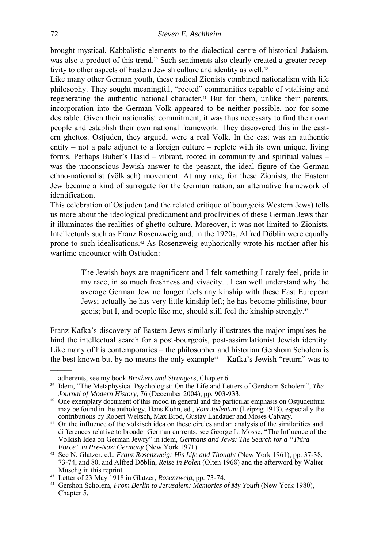brought mystical, Kabbalistic elements to the dialectical centre of historical Judaism, was also a product of this trend.<sup>39</sup> Such sentiments also clearly created a greater receptivity to other aspects of Eastern Jewish culture and identity as well.<sup>40</sup>

Like many other German youth, these radical Zionists combined nationalism with life philosophy. They sought meaningful, "rooted" communities capable of vitalising and regenerating the authentic national character.41 But for them, unlike their parents, incorporation into the German Volk appeared to be neither possible, nor for some desirable. Given their nationalist commitment, it was thus necessary to find their own people and establish their own national framework. They discovered this in the eastern ghettos. Ostjuden, they argued, were a real Volk. In the east was an authentic entity – not a pale adjunct to a foreign culture – replete with its own unique, living forms. Perhaps Buber's Hasid – vibrant, rooted in community and spiritual values – was the unconscious Jewish answer to the peasant, the ideal figure of the German ethno-nationalist (völkisch) movement. At any rate, for these Zionists, the Eastern Jew became a kind of surrogate for the German nation, an alternative framework of identification.

This celebration of Ostjuden (and the related critique of bourgeois Western Jews) tells us more about the ideological predicament and proclivities of these German Jews than it illuminates the realities of ghetto culture. Moreover, it was not limited to Zionists. Intellectuals such as Franz Rosenzweig and, in the 1920s, Alfred Döblin were equally prone to such idealisations.42 As Rosenzweig euphorically wrote his mother after his wartime encounter with Ostjuden:

> The Jewish boys are magnificent and I felt something I rarely feel, pride in my race, in so much freshness and vivacity... I can well understand why the average German Jew no longer feels any kinship with these East European Jews; actually he has very little kinship left; he has become philistine, bourgeois; but I, and people like me, should still feel the kinship strongly.43

Franz Kafka's discovery of Eastern Jews similarly illustrates the major impulses behind the intellectual search for a post-bourgeois, post-assimilationist Jewish identity. Like many of his contemporaries – the philosopher and historian Gershom Scholem is the best known but by no means the only example<sup>44</sup> – Kafka's Jewish "return" was to

adherents, see my book *Brothers and Strangers*, Chapter 6. 39 Idem, "The Metaphysical Psychologist: On the Life and Letters of Gershom Scholem", *The Journal of Modern History*, 76 (December 2004), pp. 903-933.

<sup>&</sup>lt;sup>40</sup> One exemplary document of this mood in general and the particular emphasis on Ostjudentum may be found in the anthology, Hans Kohn, ed., *Vom Judentum* (Leipzig 1913), especially the contributions by Robert Weltsch, Max Brod, Gustav Landauer and Moses Calvary.

<sup>&</sup>lt;sup>41</sup> On the influence of the völkisch idea on these circles and an analysis of the similarities and differences relative to broader German currents, see George L. Mosse, "The Influence of the Volkish Idea on German Jewry" in idem, *Germans and Jews: The Search for a "Third* 

<sup>&</sup>lt;sup>42</sup> See N. Glatzer, ed., *Franz Rosenzweig: His Life and Thought* (New York 1961), pp. 37-38, 73-74, and 80, and Alfred Döblin, *Reise in Polen* (Olten 1968) and the afterword by Walter Muschg in this reprint.<br><sup>43</sup> Letter of 23 May 1918 in Glatzer, *Rosenzweig*, pp. 73-74.

<sup>&</sup>lt;sup>44</sup> Gershon Scholem, *From Berlin to Jerusalem: Memories of My Youth* (New York 1980), Chapter 5.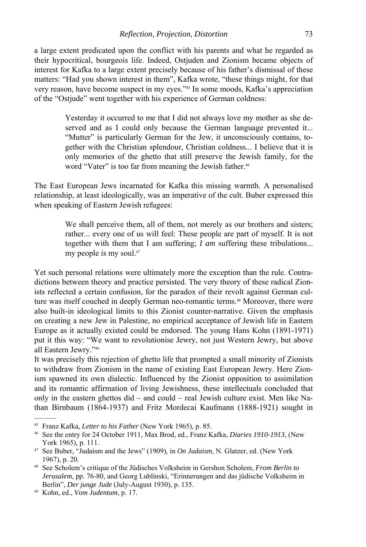a large extent predicated upon the conflict with his parents and what he regarded as their hypocritical, bourgeois life. Indeed, Ostjuden and Zionism became objects of interest for Kafka to a large extent precisely because of his father's dismissal of these matters: "Had you shown interest in them", Kafka wrote, "these things might, for that very reason, have become suspect in my eyes."45 In some moods, Kafka's appreciation of the "Ostjude" went together with his experience of German coldness:

> Yesterday it occurred to me that I did not always love my mother as she deserved and as I could only because the German language prevented it... "Mutter" is particularly German for the Jew, it unconsciously contains, together with the Christian splendour, Christian coldness... I believe that it is only memories of the ghetto that still preserve the Jewish family, for the word "Vater" is too far from meaning the Jewish father.<sup>46</sup>

The East European Jews incarnated for Kafka this missing warmth. A personalised relationship, at least ideologically, was an imperative of the cult. Buber expressed this when speaking of Eastern Jewish refugees:

> We shall perceive them, all of them, not merely as our brothers and sisters; rather... every one of us will feel: These people are part of myself. It is not together with them that I am suffering; *I am* suffering these tribulations... my people *is* my soul.47

Yet such personal relations were ultimately more the exception than the rule. Contradictions between theory and practice persisted. The very theory of these radical Zionists reflected a certain confusion, for the paradox of their revolt against German culture was itself couched in deeply German neo-romantic terms.48 Moreover, there were also built-in ideological limits to this Zionist counter-narrative. Given the emphasis on creating a new Jew in Palestine, no empirical acceptance of Jewish life in Eastern Europe as it actually existed could be endorsed. The young Hans Kohn (1891-1971) put it this way: "We want to revolutionise Jewry, not just Western Jewry, but above all Eastern Jewry."49

It was precisely this rejection of ghetto life that prompted a small minority of Zionists to withdraw from Zionism in the name of existing East European Jewry. Here Zionism spawned its own dialectic. Influenced by the Zionist opposition to assimilation and its romantic affirmation of living Jewishness, these intellectuals concluded that only in the eastern ghettos did – and could – real Jewish culture exist. Men like Nathan Birnbaum (1864-1937) and Fritz Mordecai Kaufmann (1888-1921) sought in

<sup>&</sup>lt;sup>45</sup> Franz Kafka, *Letter to his Father* (New York 1965), p. 85.<br><sup>46</sup> See the entry for 24 October 1911, Max Brod, ed., Franz Kafka, *Diaries 1910-1913*, (New York 1965), p. 111.<br><sup>47</sup> See Buber, "Judaism and the Jews" (1909), in *On Judaism*, N. Glatzer, ed. (New York

<sup>1967),</sup> p. 20. 48 See Scholem's critique of the Jüdisches Volksheim in Gershon Scholem, *From Berlin to* 

*Jerusalem*, pp. 76-80, and Georg Lublinski, "Erinnerungen and das jüdische Volksheim in Berlin", *Der junge Jude* (July-August 1930), p. 135. 49 Kohn, ed., *Vom Judentum*, p. 17.